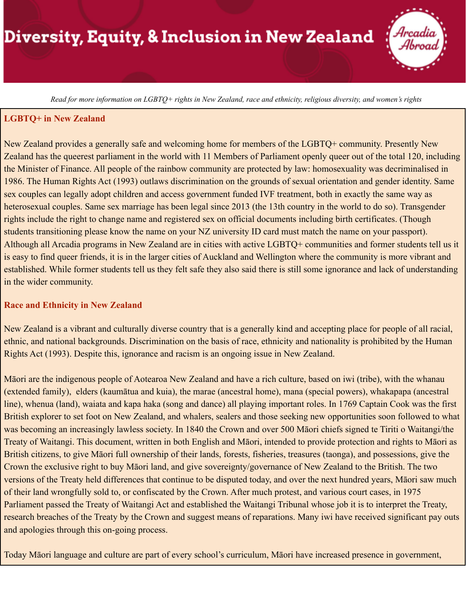# Diversity, Equity, & Inclusion in New Zealand



Read for more information on LGBTQ+ rights in New Zealand, race and ethnicity, religious diversity, and women's rights

#### **LGBTQ+ in New Zealand**

New Zealand provides a generally safe and welcoming home for members of the LGBTQ+ community. Presently New Zealand has the queerest parliament in the world with 11 Members of Parliament openly queer out of the total 120, including the Minister of Finance. All people of the rainbow community are protected by law: homosexuality was decriminalised in 1986. The Human Rights Act (1993) outlaws discrimination on the grounds of sexual orientation and gender identity. Same sex couples can legally adopt children and access government funded IVF treatment, both in exactly the same way as heterosexual couples. Same sex marriage has been legal since 2013 (the 13th country in the world to do so). Transgender rights include the right to change name and registered sex on official documents including birth certificates. (Though students transitioning please know the name on your NZ university ID card must match the name on your passport). Although all Arcadia programs in New Zealand are in cities with active LGBTQ+ communities and former students tell us it is easy to find queer friends, it is in the larger cities of Auckland and Wellington where the community is more vibrant and established. While former students tell us they felt safe they also said there is still some ignorance and lack of understanding in the wider community.

#### **Race and Ethnicity in New Zealand**

New Zealand is a vibrant and culturally diverse country that is a generally kind and accepting place for people of all racial, ethnic, and national backgrounds. Discrimination on the basis of race, ethnicity and nationality is prohibited by the Human Rights Act (1993). Despite this, ignorance and racism is an ongoing issue in New Zealand.

Māori are the indigenous people of Aotearoa New Zealand and have a rich culture, based on iwi (tribe), with the whanau (extended family), elders (kaumātua and kuia), the marae (ancestral home), mana (special powers), whakapapa (ancestral line), whenua (land), waiata and kapa haka (song and dance) all playing important roles. In 1769 Captain Cook was the first British explorer to set foot on New Zealand, and whalers, sealers and those seeking new opportunities soon followed to what was becoming an increasingly lawless society. In 1840 the Crown and over 500 Māori chiefs signed te Tiriti o Waitangi/the Treaty of Waitangi. This document, written in both English and Māori, intended to provide protection and rights to Māori as British citizens, to give Māori full ownership of their lands, forests, fisheries, treasures (taonga), and possessions, give the Crown the exclusive right to buy Māori land, and give sovereignty/governance of New Zealand to the British. The two versions of the Treaty held differences that continue to be disputed today, and over the next hundred years, Māori saw much of their land wrongfully sold to, or confiscated by the Crown. After much protest, and various court cases, in 1975 Parliament passed the Treaty of Waitangi Act and established the Waitangi Tribunal whose job it is to interpret the Treaty, research breaches of the Treaty by the Crown and suggest means of reparations. Many iwi have received significant pay outs and apologies through this on-going process.

Today Māori language and culture are part of every school's curriculum, Māori have increased presence in government,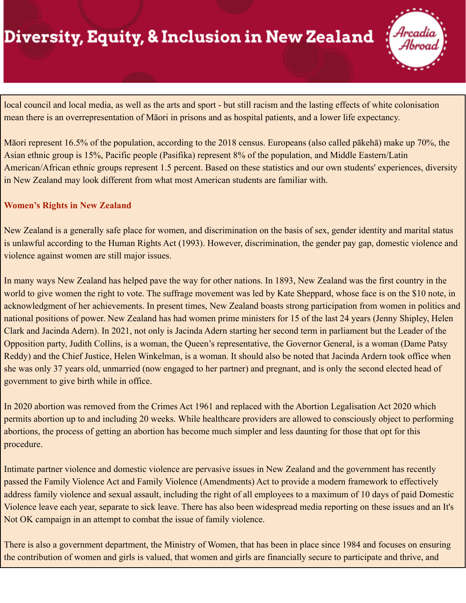## Diversity, Equity, & Inclusion in New Zealand



local council and local media, as well as the arts and sport - but still racism and the lasting effects of white colonisation mean there is an overrepresentation of Māori in prisons and as hospital patients, and a lower life expectancy.

Māori represent 16.5% of the population, according to the 2018 census. Europeans (also called pākehā) make up 70%, the Asian ethnic group is 15%, Pacific people (Pasifika) represent 8% of the population, and Middle Eastern/Latin American/African ethnic groups represent 1.5 percent. Based on these statistics and our own students' experiences, diversity in New Zealand may look different from what most American students are familiar with.

### **Women's Rights in New Zealand**

New Zealand is a generally safe place for women, and discrimination on the basis of sex, gender identity and marital status is unlawful according to the Human Rights Act (1993). However, discrimination, the gender pay gap, domestic violence and violence against women are still major issues.

In many ways New Zealand has helped pave the way for other nations. In 1893, New Zealand was the first country in the world to give women the right to vote. The suffrage movement was led by Kate Sheppard, whose face is on the \$10 note, in acknowledgment of her achievements. In present times, New Zealand boasts strong participation from women in politics and national positions of power. New Zealand has had women prime ministers for 15 of the last 24 years (Jenny Shipley, Helen Clark and Jacinda Adern). In 2021, not only is Jacinda Adern starting her second term in parliament but the Leader of the Opposition party, Judith Collins, is a woman, the Queen's representative, the Governor General, is a woman (Dame Patsy Reddy) and the Chief Justice, Helen Winkelman, is a woman. It should also be noted that Jacinda Ardern took office when she was only 37 years old, unmarried (now engaged to her partner) and pregnant, and is only the second elected head of government to give birth while in office.

In 2020 abortion was removed from the Crimes Act 1961 and replaced with the Abortion Legalisation Act 2020 which permits abortion up to and including 20 weeks. While healthcare providers are allowed to consciously object to performing abortions, the process of getting an abortion has become much simpler and less daunting for those that opt for this procedure.

Intimate partner violence and domestic violence are pervasive issues in New Zealand and the government has recently passed the Family Violence Act and Family Violence (Amendments) Act to provide a modern framework to effectively address family violence and sexual assault, including the right of all employees to a maximum of 10 days of paid Domestic Violence leave each year, separate to sick leave. There has also been widespread media reporting on these issues and an It's Not OK campaign in an attempt to combat the issue of family violence.

There is also a government department, the Ministry of Women, that has been in place since 1984 and focuses on ensuring the contribution of women and girls is valued, that women and girls are financially secure to participate and thrive, and